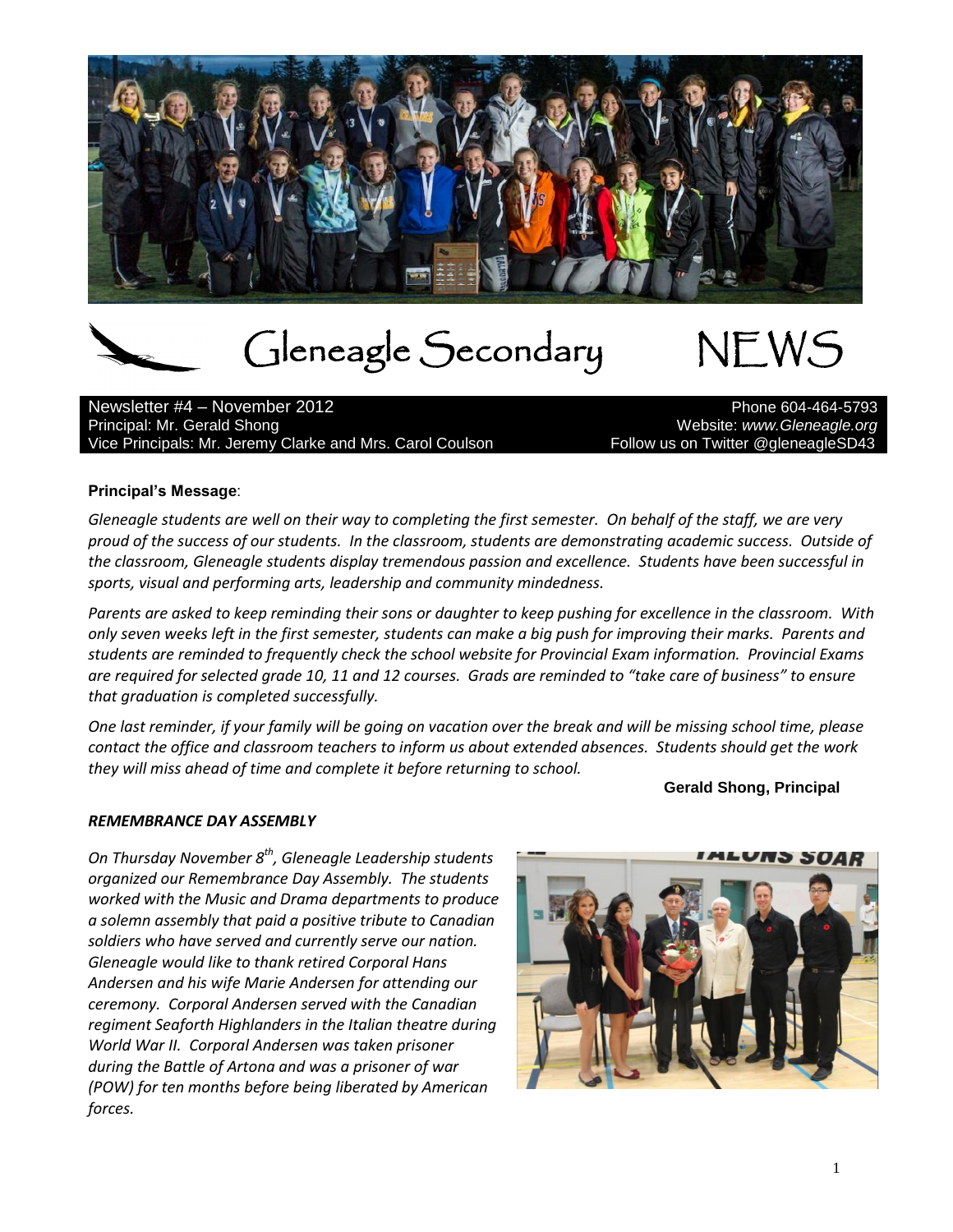

# Gleneagle Secondary NEWS

Newsletter #4 – November 2012 Principal: Mr. Gerald Shong **Website:** *www.Gleneagle.org* Website: *www.Gleneagle.org* Vice Principals: Mr. Jeremy Clarke and Mrs. Carol CoulsonFollow us on Twitter @gleneagleSD43

# **Principal's Message**:

*Gleneagle students are well on their way to completing the first semester. On behalf of the staff, we are very proud of the success of our students. In the classroom, students are demonstrating academic success. Outside of the classroom, Gleneagle students display tremendous passion and excellence. Students have been successful in sports, visual and performing arts, leadership and community mindedness.* 

*Parents are asked to keep reminding their sons or daughter to keep pushing for excellence in the classroom. With only seven weeks left in the first semester, students can make a big push for improving their marks. Parents and students are reminded to frequently check the school website for Provincial Exam information. Provincial Exams are required for selected grade 10, 11 and 12 courses. Grads are reminded to "take care of business" to ensure that graduation is completed successfully.*

*One last reminder, if your family will be going on vacation over the break and will be missing school time, please contact the office and classroom teachers to inform us about extended absences. Students should get the work they will miss ahead of time and complete it before returning to school.*

# **Gerald Shong, Principal**

# *REMEMBRANCE DAY ASSEMBLY*

*On Thursday November 8th, Gleneagle Leadership students organized our Remembrance Day Assembly. The students worked with the Music and Drama departments to produce a solemn assembly that paid a positive tribute to Canadian soldiers who have served and currently serve our nation. Gleneagle would like to thank retired Corporal Hans Andersen and his wife Marie Andersen for attending our ceremony. Corporal Andersen served with the Canadian regiment Seaforth Highlanders in the Italian theatre during World War II. Corporal Andersen was taken prisoner during the Battle of Artona and was a prisoner of war (POW) for ten months before being liberated by American forces.*

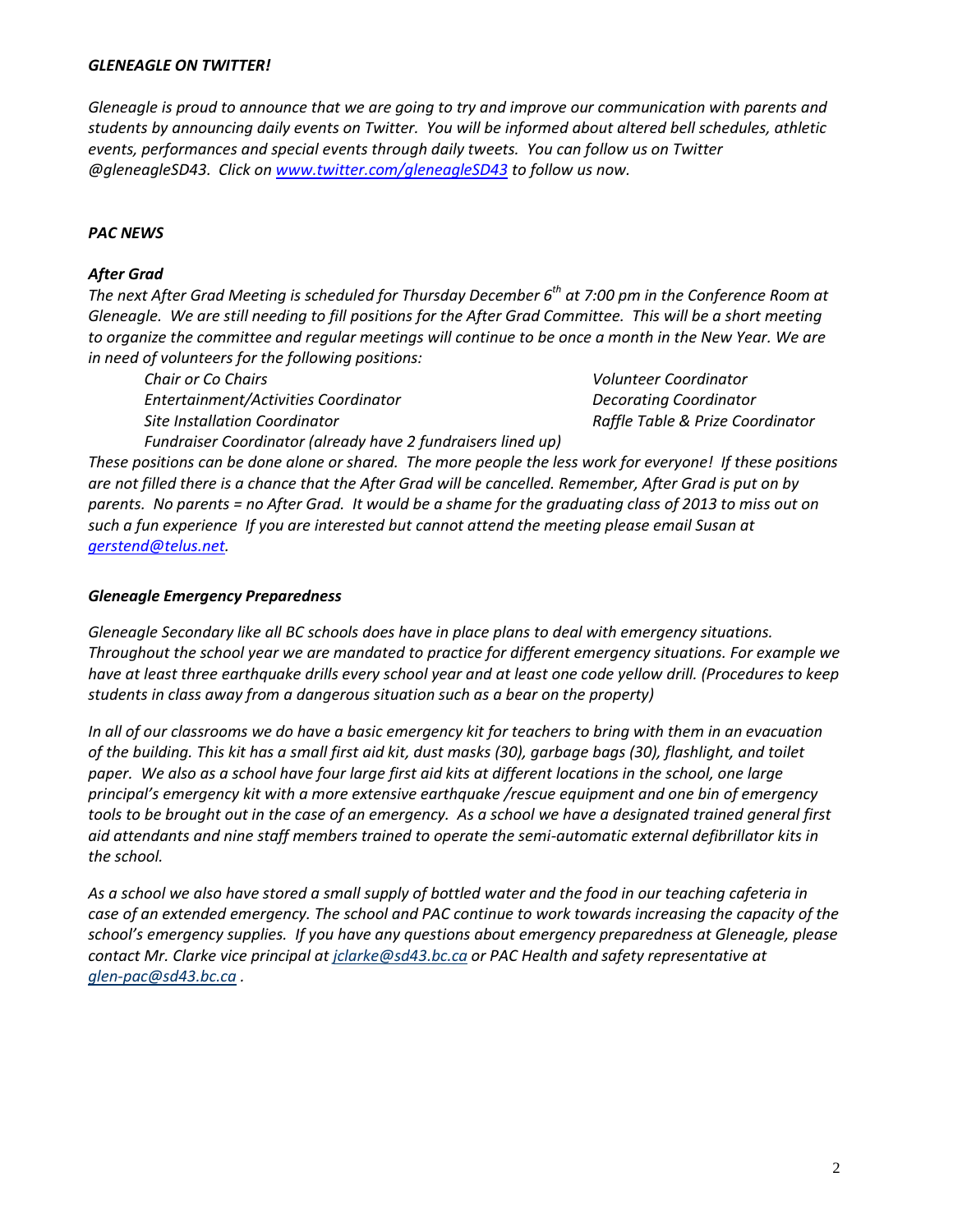#### *GLENEAGLE ON TWITTER!*

*Gleneagle is proud to announce that we are going to try and improve our communication with parents and students by announcing daily events on Twitter. You will be informed about altered bell schedules, athletic events, performances and special events through daily tweets. You can follow us on Twitter @gleneagleSD43. Click on [www.twitter.com/gleneagleSD43](http://www.twitter.com/gleneagleSD43) to follow us now.* 

#### *PAC NEWS*

#### *After Grad*

*The next After Grad Meeting is scheduled for Thursday December 6th at 7:00 pm in the Conference Room at Gleneagle. We are still needing to fill positions for the After Grad Committee. This will be a short meeting to organize the committee and regular meetings will continue to be once a month in the New Year. We are in need of volunteers for the following positions:*

*Chair or Co Chairs Volunteer Coordinator Entertainment/Activities Coordinator Decorating Coordinator Site Installation Coordinator Raffle Table & Prize Coordinator Fundraiser Coordinator (already have 2 fundraisers lined up)*

*These positions can be done alone or shared. The more people the less work for everyone! If these positions are not filled there is a chance that the After Grad will be cancelled. Remember, After Grad is put on by parents. No parents = no After Grad. It would be a shame for the graduating class of 2013 to miss out on such a fun experience If you are interested but cannot attend the meeting please email Susan at [gerstend@telus.net.](mailto:gerstend@telus.net)*

#### *Gleneagle Emergency Preparedness*

*Gleneagle Secondary like all BC schools does have in place plans to deal with emergency situations. Throughout the school year we are mandated to practice for different emergency situations. For example we have at least three earthquake drills every school year and at least one code yellow drill. (Procedures to keep students in class away from a dangerous situation such as a bear on the property)* 

*In all of our classrooms we do have a basic emergency kit for teachers to bring with them in an evacuation of the building. This kit has a small first aid kit, dust masks (30), garbage bags (30), flashlight, and toilet paper. We also as a school have four large first aid kits at different locations in the school, one large principal's emergency kit with a more extensive earthquake /rescue equipment and one bin of emergency tools to be brought out in the case of an emergency. As a school we have a designated trained general first aid attendants and nine staff members trained to operate the semi-automatic external defibrillator kits in the school.* 

*As a school we also have stored a small supply of bottled water and the food in our teaching cafeteria in case of an extended emergency. The school and PAC continue to work towards increasing the capacity of the school's emergency supplies. If you have any questions about emergency preparedness at Gleneagle, please contact Mr. Clarke vice principal at [jclarke@sd43.bc.ca](mailto:jclarke@sd43.bc.ca) or PAC Health and safety representative at [glen-pac@sd43.bc.ca](mailto:glen-pac@sd43.bc.ca) .*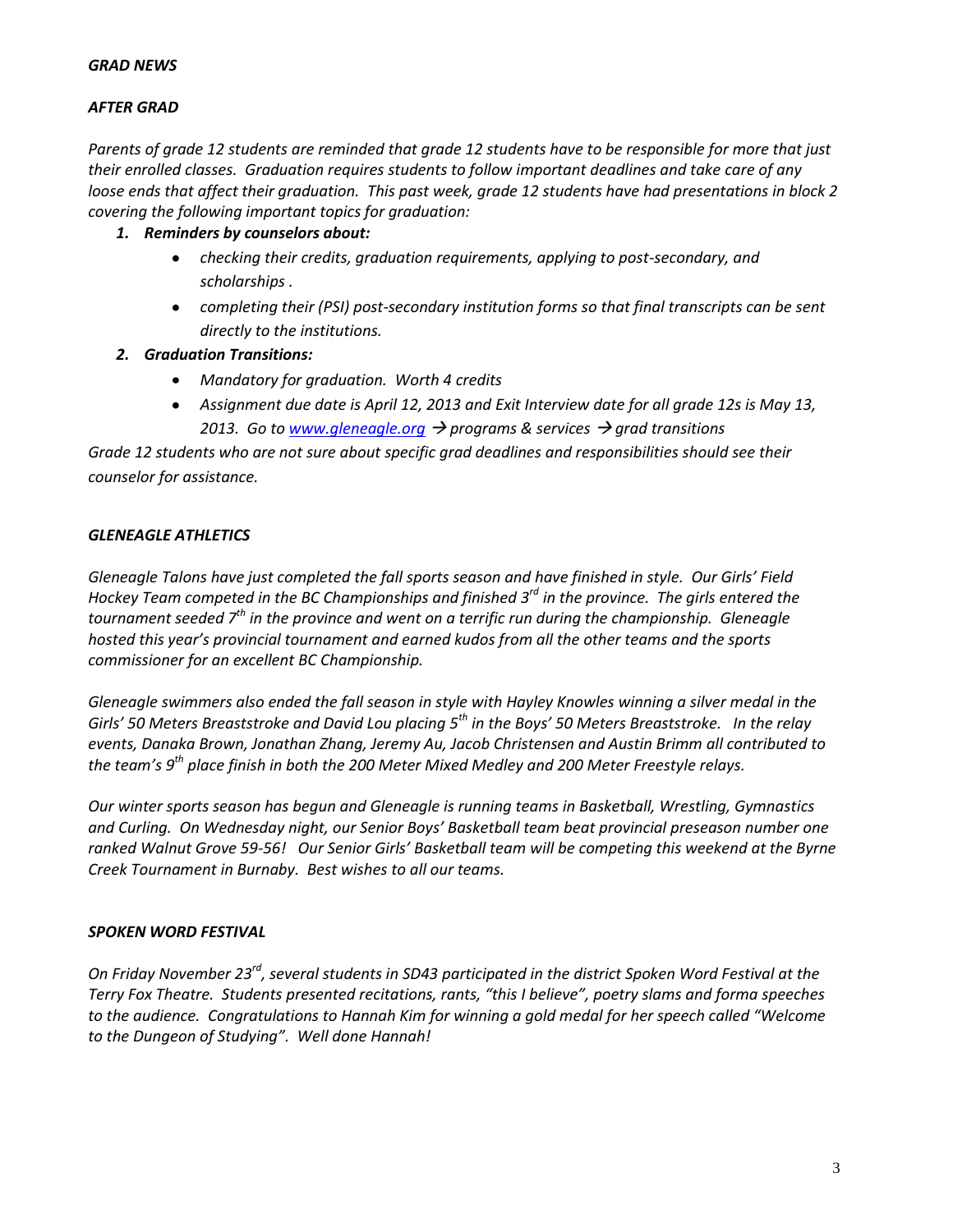#### *GRAD NEWS*

# *AFTER GRAD*

*Parents of grade 12 students are reminded that grade 12 students have to be responsible for more that just their enrolled classes. Graduation requires students to follow important deadlines and take care of any loose ends that affect their graduation. This past week, grade 12 students have had presentations in block 2 covering the following important topics for graduation:*

#### *1. Reminders by counselors about:*

- *checking their credits, graduation requirements, applying to post-secondary, and*   $\bullet$ *scholarships .*
- $\bullet$ *completing their (PSI) post-secondary institution forms so that final transcripts can be sent directly to the institutions.*

# *2. Graduation Transitions:*

- *Mandatory for graduation. Worth 4 credits*  $\bullet$
- *Assignment due date is April 12, 2013 and Exit Interview date for all grade 12s is May 13,*   $\bullet$ *2013. Go t[o www.gleneagle.org](http://www.gleneagle.org/) programs & services grad transitions*

*Grade 12 students who are not sure about specific grad deadlines and responsibilities should see their counselor for assistance.*

# *GLENEAGLE ATHLETICS*

*Gleneagle Talons have just completed the fall sports season and have finished in style. Our Girls' Field Hockey Team competed in the BC Championships and finished 3rd in the province. The girls entered the tournament seeded 7th in the province and went on a terrific run during the championship. Gleneagle hosted this year's provincial tournament and earned kudos from all the other teams and the sports commissioner for an excellent BC Championship.*

*Gleneagle swimmers also ended the fall season in style with Hayley Knowles winning a silver medal in the Girls' 50 Meters Breaststroke and David Lou placing 5th in the Boys' 50 Meters Breaststroke. In the relay events, Danaka Brown, Jonathan Zhang, Jeremy Au, Jacob Christensen and Austin Brimm all contributed to the team's 9th place finish in both the 200 Meter Mixed Medley and 200 Meter Freestyle relays.*

*Our winter sports season has begun and Gleneagle is running teams in Basketball, Wrestling, Gymnastics and Curling. On Wednesday night, our Senior Boys' Basketball team beat provincial preseason number one ranked Walnut Grove 59-56! Our Senior Girls' Basketball team will be competing this weekend at the Byrne Creek Tournament in Burnaby. Best wishes to all our teams.*

# *SPOKEN WORD FESTIVAL*

*On Friday November 23rd, several students in SD43 participated in the district Spoken Word Festival at the Terry Fox Theatre. Students presented recitations, rants, "this I believe", poetry slams and forma speeches to the audience. Congratulations to Hannah Kim for winning a gold medal for her speech called "Welcome to the Dungeon of Studying". Well done Hannah!*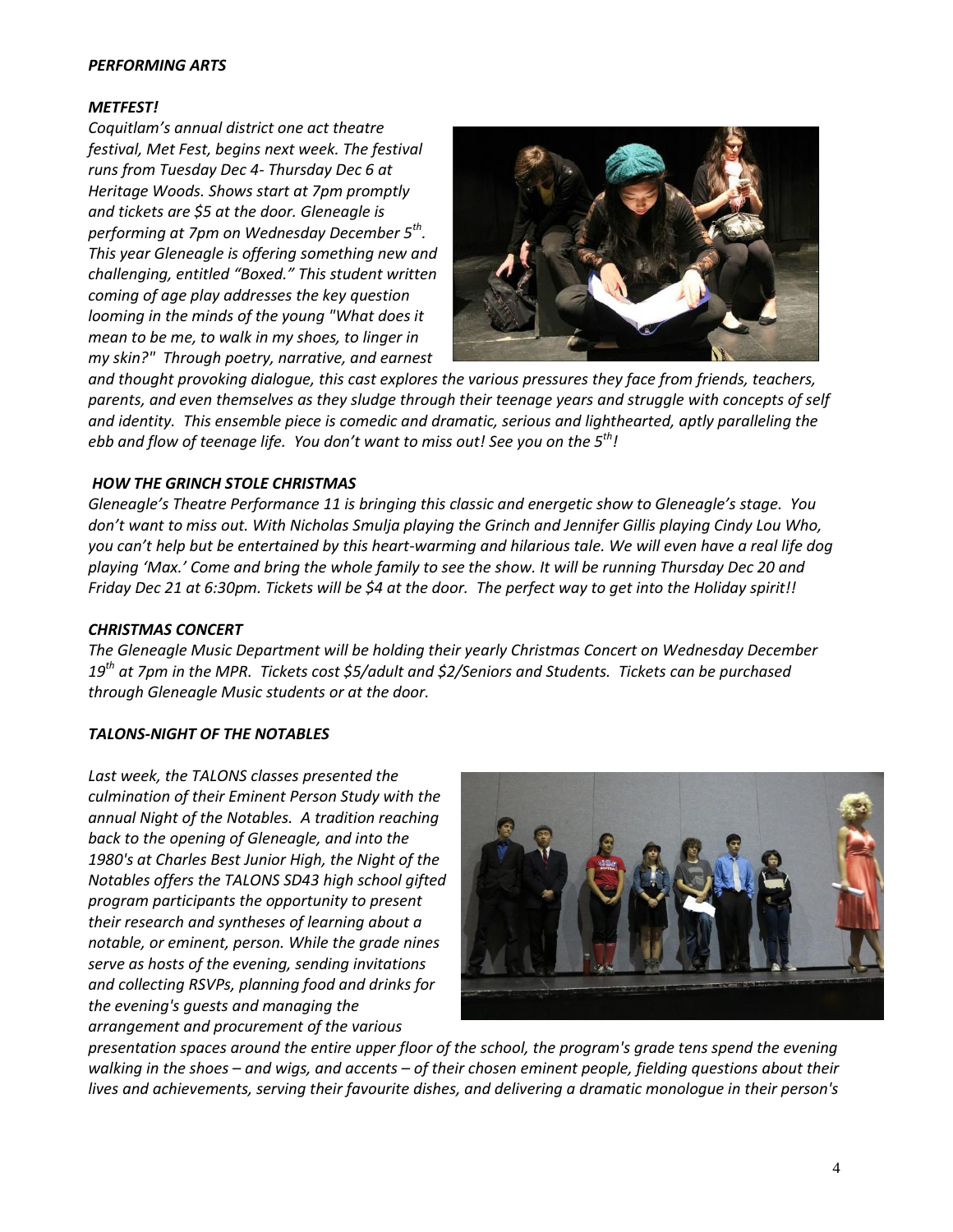# *PERFORMING ARTS*

#### *METFEST!*

*Coquitlam's annual district one act theatre festival, Met Fest, begins next week. The festival runs from Tuesday Dec 4- Thursday Dec 6 at Heritage Woods. Shows start at 7pm promptly and tickets are \$5 at the door. Gleneagle is performing at 7pm on Wednesday December 5th . This year Gleneagle is offering something new and challenging, entitled "Boxed." This student written coming of age play addresses the key question looming in the minds of the young "What does it mean to be me, to walk in my shoes, to linger in my skin?" Through poetry, narrative, and earnest* 



*and thought provoking dialogue, this cast explores the various pressures they face from friends, teachers, parents, and even themselves as they sludge through their teenage years and struggle with concepts of self and identity. This ensemble piece is comedic and dramatic, serious and lighthearted, aptly paralleling the ebb and flow of teenage life. You don't want to miss out! See you on the 5th!*

#### *HOW THE GRINCH STOLE CHRISTMAS*

*Gleneagle's Theatre Performance 11 is bringing this classic and energetic show to Gleneagle's stage. You don't want to miss out. With Nicholas Smulja playing the Grinch and Jennifer Gillis playing Cindy Lou Who, you can't help but be entertained by this heart-warming and hilarious tale. We will even have a real life dog playing 'Max.' Come and bring the whole family to see the show. It will be running Thursday Dec 20 and Friday Dec 21 at 6:30pm. Tickets will be \$4 at the door. The perfect way to get into the Holiday spirit!!*

#### *CHRISTMAS CONCERT*

*The Gleneagle Music Department will be holding their yearly Christmas Concert on Wednesday December 19th at 7pm in the MPR. Tickets cost \$5/adult and \$2/Seniors and Students. Tickets can be purchased through Gleneagle Music students or at the door.*

#### *TALONS-NIGHT OF THE NOTABLES*

*Last week, the TALONS classes presented the culmination of their Eminent Person Study with the annual Night of the Notables. A tradition reaching back to the opening of Gleneagle, and into the 1980's at Charles Best Junior High, the Night of the Notables offers the TALONS SD43 high school gifted program participants the opportunity to present their research and syntheses of learning about a notable, or eminent, person. While the grade nines serve as hosts of the evening, sending invitations and collecting RSVPs, planning food and drinks for the evening's guests and managing the arrangement and procurement of the various* 



*presentation spaces around the entire upper floor of the school, the program's grade tens spend the evening walking in the shoes – and wigs, and accents – of their chosen eminent people, fielding questions about their lives and achievements, serving their favourite dishes, and delivering a dramatic monologue in their person's*